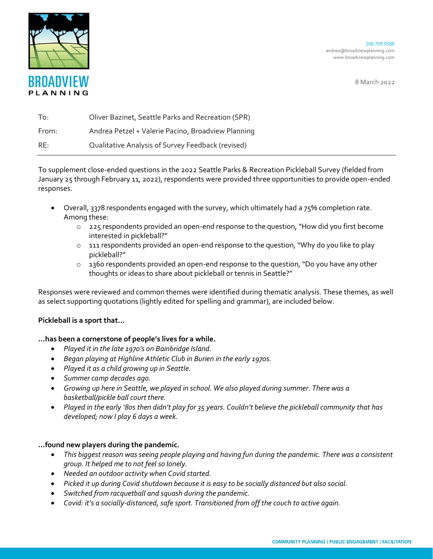

206.709.9588 andrea@broadviewplanning.com www.broadviewplanning.com

8 March 2022

| To:   | Oliver Bazinet, Seattle Parks and Recreation (SPR) |
|-------|----------------------------------------------------|
| From: | Andrea Petzel + Valerie Pacino, Broadview Planning |
| RE:   | Qualitative Analysis of Survey Feedback (revised)  |

To supplement close-ended questions in the 2022 Seattle Parks & Recreation Pickleball Survey (fielded from January 25 through February 11, 2022), respondents were provided three opportunities to provide open-ended responses.

- Overall, 3378 respondents engaged with the survey, which ultimately had a 75% completion rate. Among these:
	- o 225 respondents provided an open-end response to the question, "How did you first become interested in pickleball?"
	- $\circ$  111 respondents provided an open-end response to the question, "Why do you like to play pickleball?"
	- o 1360 respondents provided an open-end response to the question, "Do you have any other thoughts or ideas to share about pickleball or tennis in Seattle?"

Responses were reviewed and common themes were identified during thematic analysis. These themes, as well as select supporting quotations (lightly edited for spelling and grammar), are included below.

# **Pickleball is a sport that…**

# **…has been a cornerstone of people's lives for a while.**

- *Played it in the late 1970's on Bainbridge Island.*
- *Began playing at Highline Athletic Club in Burien in the early 1970s.*
- *Played it as a child growing up in Seattle.*
- *Summer camp decades ago.*
- *Growing up here in Seattle, we played in school. We also played during summer. There was a basketball/pickle ball court there.*
- *Played in the early '80s then didn't play for 35 years. Couldn't believe the pickleball community that has developed; now I play 6 days a week.*

# **…found new players during the pandemic.**

- *This biggest reason was seeing people playing and having fun during the pandemic. There was a consistent group. It helped me to not feel so lonely.*
- *Needed an outdoor activity when Covid started.*
- *Picked it up during Covid shutdown because it is easy to be socially distanced but also social.*
- *Switched from racquetball and squash during the pandemic.*
- *Covid: it's a socially-distanced, safe sport. Transitioned from off the couch to active again.*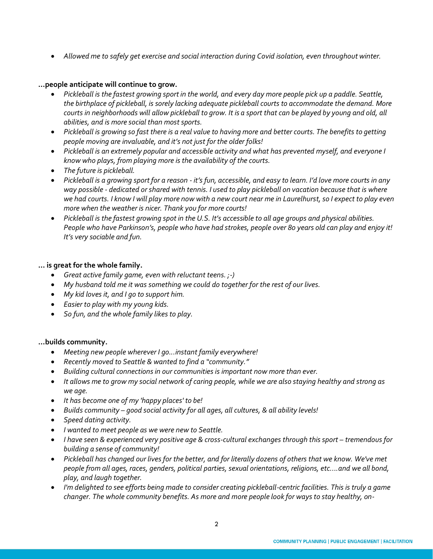• *Allowed me to safely get exercise and social interaction during Covid isolation, even throughout winter.*

## **…people anticipate will continue to grow.**

- *Pickleball is the fastest growing sport in the world, and every day more people pick up a paddle. Seattle, the birthplace of pickleball, is sorely lacking adequate pickleball courts to accommodate the demand. More courts in neighborhoods will allow pickleball to grow. It is a sport that can be played by young and old, all abilities, and is more social than most sports.*
- *Pickleball is growing so fast there is a real value to having more and better courts. The benefits to getting people moving are invaluable, and it's not just for the older folks!*
- *Pickleball is an extremely popular and accessible activity and what has prevented myself, and everyone I know who plays, from playing more is the availability of the courts.*
- *The future is pickleball.*
- *Pickleball is a growing sport for a reason - it's fun, accessible, and easy to learn. I'd love more courts in any way possible - dedicated or shared with tennis. I used to play pickleball on vacation because that is where we had courts. I know I will play more now with a new court near me in Laurelhurst, so I expect to play even more when the weather is nicer. Thank you for more courts!*
- *Pickleball is the fastest growing spot in the U.S. It's accessible to all age groups and physical abilities. People who have Parkinson's, people who have had strokes, people over 80 years old can play and enjoy it! It's very sociable and fun.*

# **… is great for the whole family.**

- *Great active family game, even with reluctant teens. ;-)*
- *My husband told me it was something we could do together for the rest of our lives.*
- *My kid loves it, and I go to support him.*
- *Easier to play with my young kids.*
- *So fun, and the whole family likes to play.*

#### **…builds community.**

- *Meeting new people wherever I go...instant family everywhere!*
- *Recently moved to Seattle & wanted to find a "community."*
- *Building cultural connections in our communities is important now more than ever.*
- *It allows me to grow my social network of caring people, while we are also staying healthy and strong as we age.*
- *It has become one of my 'happy places' to be!*
- *Builds community – good social activity for all ages, all cultures, & all ability levels!*
- *Speed dating activity.*
- *I wanted to meet people as we were new to Seattle.*
- *I have seen & experienced very positive age & cross-cultural exchanges through this sport tremendous for building a sense of community!*
- *Pickleball has changed our lives for the better, and for literally dozens of others that we know. We've met people from all ages, races, genders, political parties, sexual orientations, religions, etc....and we all bond, play, and laugh together.*
- *I'm delighted to see efforts being made to consider creating pickleball-centric facilities. This is truly a game changer. The whole community benefits. As more and more people look for ways to stay healthy, on-*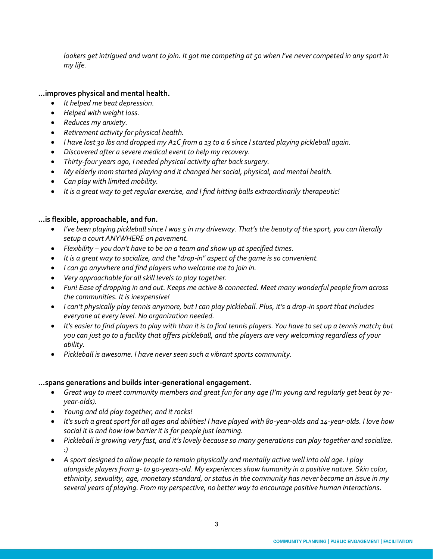lookers get intrigued and want to join. It got me competing at 50 when I've never competed in any sport in *my life.*

## **…improves physical and mental health.**

- *It helped me beat depression.*
- *Helped with weight loss.*
- *Reduces my anxiety.*
- *Retirement activity for physical health.*
- *I have lost 30 lbs and dropped my A1C from a 13 to a 6 since I started playing pickleball again.*
- *Discovered after a severe medical event to help my recovery.*
- *Thirty-four years ago, I needed physical activity after back surgery.*
- *My elderly mom started playing and it changed her social, physical, and mental health.*
- *Can play with limited mobility.*
- *It is a great way to get regular exercise, and I find hitting balls extraordinarily therapeutic!*

## **…is flexible, approachable, and fun.**

- *I've been playing pickleball since I was 5 in my driveway. That's the beauty of the sport, you can literally setup a court ANYWHERE on pavement.*
- *Flexibility – you don't have to be on a team and show up at specified times.*
- *It is a great way to socialize, and the "drop-in" aspect of the game is so convenient.*
- *I can go anywhere and find players who welcome me to join in.*
- *Very approachable for all skill levels to play together.*
- *Fun! Ease of dropping in and out. Keeps me active & connected. Meet many wonderful people from across the communities. It is inexpensive!*
- *I can't physically play tennis anymore, but I can play pickleball. Plus, it's a drop-in sport that includes everyone at every level. No organization needed.*
- *It's easier to find players to play with than it is to find tennis players. You have to set up a tennis match; but you can just go to a facility that offers pickleball, and the players are very welcoming regardless of your ability.*
- *Pickleball is awesome. I have never seen such a vibrant sports community.*

#### **…spans generations and builds inter-generational engagement.**

- *Great way to meet community members and great fun for any age (I'm young and regularly get beat by 70 year-olds).*
- *Young and old play together, and it rocks!*
- *It's such a great sport for all ages and abilities! I have played with 80-year-olds and 14-year-olds. I love how social it is and how low barrier it is for people just learning.*
- *Pickleball is growing very fast, and it's lovely because so many generations can play together and socialize. :)*
- *A sport designed to allow people to remain physically and mentally active well into old age. I play alongside players from 9- to 90-years-old. My experiences show humanity in a positive nature. Skin color, ethnicity, sexuality, age, monetary standard, or status in the community has never become an issue in my several years of playing. From my perspective, no better way to encourage positive human interactions.*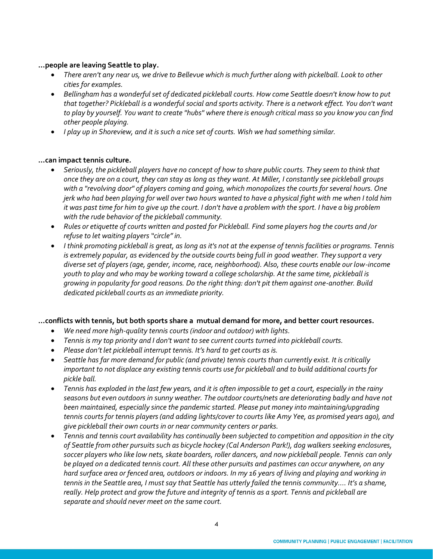## **…people are leaving Seattle to play.**

- *There aren't any near us, we drive to Bellevue which is much further along with pickelball. Look to other cities for examples.*
- *Bellingham has a wonderful set of dedicated pickleball courts. How come Seattle doesn't know how to put that together? Pickleball is a wonderful social and sports activity. There is a network effect. You don't want to play by yourself. You want to create "hubs" where there is enough critical mass so you know you can find other people playing.*
- *I play up in Shoreview, and it is such a nice set of courts. Wish we had something similar.*

## **…can impact tennis culture.**

- *Seriously, the pickleball players have no concept of how to share public courts. They seem to think that once they are on a court, they can stay as long as they want. At Miller, I constantly see pickleball groups with a "revolving door" of players coming and going, which monopolizes the courts for several hours. One jerk who had been playing for well over two hours wanted to have a physical fight with me when I told him it was past time for him to give up the court. I don't have a problem with the sport. I have a big problem with the rude behavior of the pickleball community.*
- *Rules or etiquette of courts written and posted for Pickleball. Find some players hog the courts and /or refuse to let waiting players "circle" in.*
- *I think promoting pickleball is great, as long as it's not at the expense of tennis facilities or programs. Tennis is extremely popular, as evidenced by the outside courts being full in good weather. They support a very diverse set of players (age, gender, income, race, neighborhood). Also, these courts enable our low-income youth to play and who may be working toward a college scholarship. At the same time, pickleball is growing in popularity for good reasons. Do the right thing: don't pit them against one-another. Build dedicated pickleball courts as an immediate priority.*

#### **…conflicts with tennis, but both sports share a mutual demand for more, and better court resources.**

- *We need more high-quality tennis courts (indoor and outdoor) with lights.*
- *Tennis is my top priority and I don't want to see current courts turned into pickleball courts.*
- *Please don't let pickleball interrupt tennis. It's hard to get courts as is.*
- *Seattle has far more demand for public (and private) tennis courts than currently exist. It is critically important to not displace any existing tennis courts use for pickleball and to build additional courts for pickle ball.*
- *Tennis has exploded in the last few years, and it is often impossible to get a court, especially in the rainy seasons but even outdoors in sunny weather. The outdoor courts/nets are deteriorating badly and have not*  been maintained, especially since the pandemic started. Please put money into maintaining/upgrading *tennis courts for tennis players (and adding lights/cover to courts like Amy Yee, as promised years ago), and give pickleball their own courts in or near community centers or parks.*
- *Tennis and tennis court availability has continually been subjected to competition and opposition in the city of Seattle from other pursuits such as bicycle hockey (Cal Anderson Park!), dog walkers seeking enclosures, soccer players who like low nets, skate boarders, roller dancers, and now pickleball people. Tennis can only be played on a dedicated tennis court. All these other pursuits and pastimes can occur anywhere, on any hard surface area or fenced area, outdoors or indoors. In my 16 years of living and playing and working in tennis in the Seattle area, I must say that Seattle has utterly failed the tennis community…. It's a shame, really. Help protect and grow the future and integrity of tennis as a sport. Tennis and pickleball are separate and should never meet on the same court.*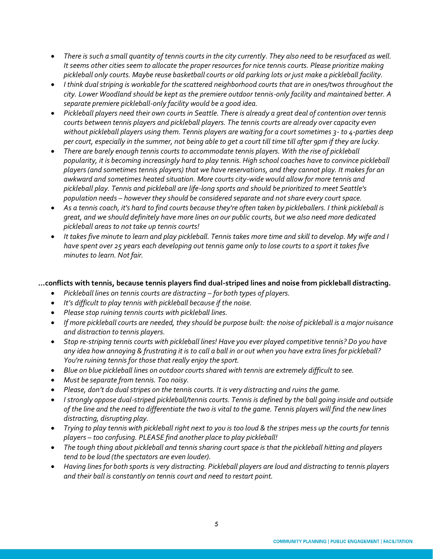- *There is such a small quantity of tennis courts in the city currently. They also need to be resurfaced as well. It seems other cities seem to allocate the proper resources for nice tennis courts. Please prioritize making pickleball only courts. Maybe reuse basketball courts or old parking lots or just make a pickleball facility.*
- *I think dual striping is workable for the scattered neighborhood courts that are in ones/twos throughout the city. Lower Woodland should be kept as the premiere outdoor tennis-only facility and maintained better. A separate premiere pickleball-only facility would be a good idea.*
- *Pickleball players need their own courts in Seattle. There is already a great deal of contention over tennis courts between tennis players and pickleball players. The tennis courts are already over capacity even without pickleball players using them. Tennis players are waiting for a court sometimes 3- to 4-parties deep per court, especially in the summer, not being able to get a court till time till after 9pm if they are lucky.*
- *There are barely enough tennis courts to accommodate tennis players. With the rise of pickleball popularity, it is becoming increasingly hard to play tennis. High school coaches have to convince pickleball players (and sometimes tennis players) that we have reservations, and they cannot play. It makes for an awkward and sometimes heated situation. More courts city-wide would allow for more tennis and pickleball play. Tennis and pickleball are life-long sports and should be prioritized to meet Seattle's population needs – however they should be considered separate and not share every court space.*
- *As a tennis coach, it's hard to find courts because they're often taken by pickleballers. I think pickleball is great, and we should definitely have more lines on our public courts, but we also need more dedicated pickleball areas to not take up tennis courts!*
- *It takes five minute to learn and play pickleball. Tennis takes more time and skill to develop. My wife and I have spent over 25 years each developing out tennis game only to lose courts to a sport it takes five minutes to learn. Not fair.*

# **…conflicts with tennis, because tennis players find dual-striped lines and noise from pickleball distracting.**

- *Pickleball lines on tennis courts are distracting – for both types of players.*
- *It's difficult to play tennis with pickleball because if the noise.*
- *Please stop ruining tennis courts with pickleball lines.*
- *If more pickleball courts are needed, they should be purpose built: the noise of pickleball is a major nuisance and distraction to tennis players.*
- *Stop re-striping tennis courts with pickleball lines! Have you ever played competitive tennis? Do you have any idea how annoying & frustrating it is to call a ball in or out when you have extra lines for pickleball? You're ruining tennis for those that really enjoy the sport.*
- *Blue on blue pickleball lines on outdoor courts shared with tennis are extremely difficult to see.*
- *Must be separate from tennis. Too noisy.*
- *Please, don't do dual stripes on the tennis courts. It is very distracting and ruins the game.*
- *I strongly oppose dual-striped pickleball/tennis courts. Tennis is defined by the ball going inside and outside of the line and the need to differentiate the two is vital to the game. Tennis players will find the new lines distracting, disrupting play.*
- *Trying to play tennis with pickleball right next to you is too loud & the stripes mess up the courts for tennis players – too confusing. PLEASE find another place to play pickleball!*
- *The tough thing about pickleball and tennis sharing court space is that the pickleball hitting and players tend to be loud (the spectators are even louder).*
- *Having lines for both sports is very distracting. Pickleball players are loud and distracting to tennis players and their ball is constantly on tennis court and need to restart point.*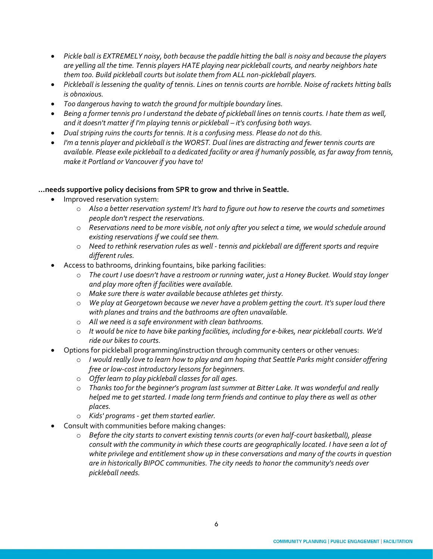- Pickle ball is EXTREMELY noisy, both because the paddle hitting the ball is noisy and because the players *are yelling all the time. Tennis players HATE playing near pickleball courts, and nearby neighbors hate them too. Build pickleball courts but isolate them from ALL non-pickleball players.*
- *Pickleball is lessening the quality of tennis. Lines on tennis courts are horrible. Noise of rackets hitting balls is obnoxious.*
- *Too dangerous having to watch the ground for multiple boundary lines.*
- *Being a former tennis pro I understand the debate of pickleball lines on tennis courts. I hate them as well,*  and it doesn't matter if I'm playing tennis or pickleball – it's confusing both ways.
- *Dual striping ruins the courts for tennis. It is a confusing mess. Please do not do this.*
- *I'm a tennis player and pickleball is the WORST. Dual lines are distracting and fewer tennis courts are available. Please exile pickleball to a dedicated facility or area if humanly possible, as far away from tennis, make it Portland or Vancouver if you have to!*

# **…needs supportive policy decisions from SPR to grow and thrive in Seattle.**

- Improved reservation system:
	- o *Also a better reservation system! It's hard to figure out how to reserve the courts and sometimes people don't respect the reservations.*
	- o *Reservations need to be more visible, not only after you select a time, we would schedule around existing reservations if we could see them.*
	- o *Need to rethink reservation rules as well - tennis and pickleball are different sports and require different rules.*
- Access to bathrooms, drinking fountains, bike parking facilities:
	- o *The court I use doesn't have a restroom or running water, just a Honey Bucket. Would stay longer and play more often if facilities were available.*
	- o *Make sure there is water available because athletes get thirsty.*
	- o *We play at Georgetown because we never have a problem getting the court. It's super loud there with planes and trains and the bathrooms are often unavailable.*
	- o *All we need is a safe environment with clean bathrooms.*
	- o *It would be nice to have bike parking facilities, including for e-bikes, near pickleball courts. We'd*   $r$ *ide our bikes to courts.*
- Options for pickleball programming/instruction through community centers or other venues:
	- o *I would really love to learn how to play and am hoping that Seattle Parks might consider offering free or low-cost introductory lessons for beginners.*
	- o *Offer learn to play pickleball classes for all ages.*
	- o *Thanks too for the beginner's program last summer at Bitter Lake. It was wonderful and really helped me to get started. I made long term friends and continue to play there as well as other places.*
	- o *Kids' programs - get them started earlier.*
- Consult with communities before making changes:
	- o *Before the city starts to convert existing tennis courts (or even half-court basketball), please consult with the community in which these courts are geographically located. I have seen a lot of white privilege and entitlement show up in these conversations and many of the courts in question are in historically BIPOC communities. The city needs to honor the community's needs over pickleball needs.*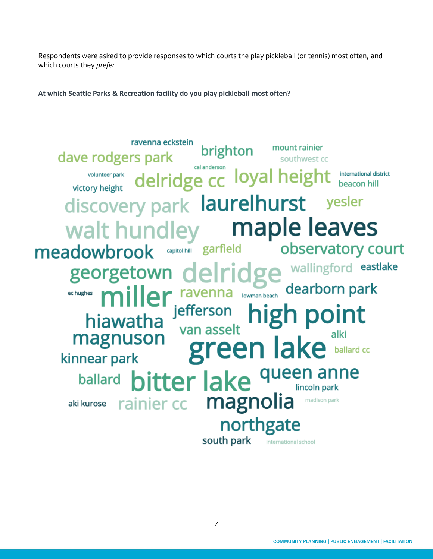Respondents were asked to provide responses to which courts the play pickleball (or tennis) most often, and which courts they *prefer*

**At which Seattle Parks & Recreation facility do you play pickleball most often?**

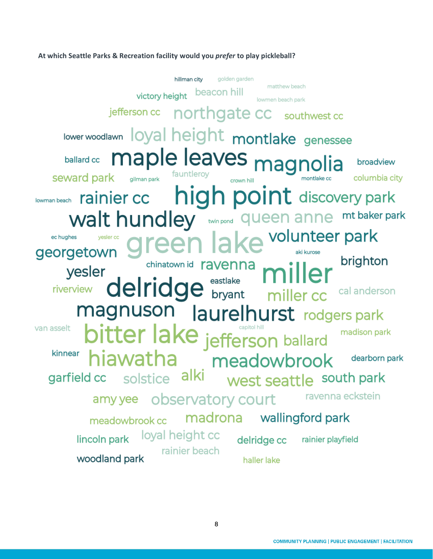#### **At which Seattle Parks & Recreation facility would you** *prefer* **to play pickleball?**

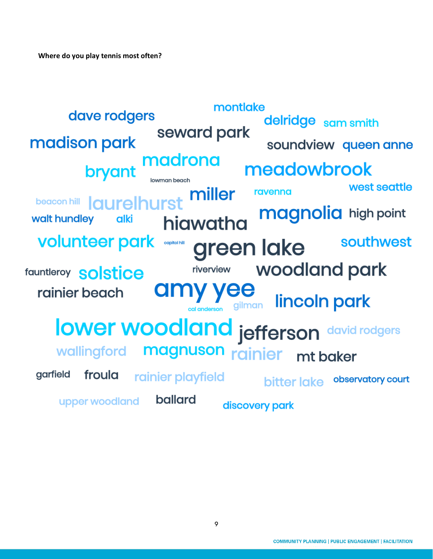